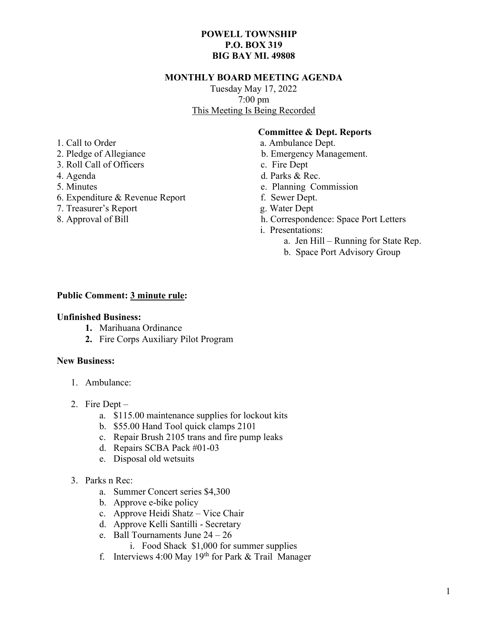# POWELL TOWNSHIP P.O. BOX 319 BIG BAY MI. 49808

### MONTHLY BOARD MEETING AGENDA

Tuesday May 17, 2022 7:00 pm This Meeting Is Being Recorded

# Committee & Dept. Reports

- 1. Call to Order a. Ambulance Dept.
- 2. Pledge of Allegiance b. Emergency Management.
- 3. Roll Call of Officers c. Fire Dept
- 4. Agenda d. Parks & Rec.
- 5. Minutes e. Planning Commission
- 6. Expenditure & Revenue Report f. Sewer Dept.
- 7. Treasurer's Report g. Water Dept
- 8. Approval of Bill h. Correspondence: Space Port Letters
	- i. Presentations:
		- a. Jen Hill Running for State Rep.
		- b. Space Port Advisory Group

## Public Comment: 3 minute rule:

#### Unfinished Business:

- 1. Marihuana Ordinance
- 2. Fire Corps Auxiliary Pilot Program

#### New Business:

- 1. Ambulance:
- 2. Fire Dept
	- a. \$115.00 maintenance supplies for lockout kits
	- b. \$55.00 Hand Tool quick clamps 2101
	- c. Repair Brush 2105 trans and fire pump leaks
	- d. Repairs SCBA Pack #01-03
	- e. Disposal old wetsuits
- 3. Parks n Rec:
	- a. Summer Concert series \$4,300
	- b. Approve e-bike policy
	- c. Approve Heidi Shatz Vice Chair
	- d. Approve Kelli Santilli Secretary
	- e. Ball Tournaments June 24 26
		- i. Food Shack \$1,000 for summer supplies
	- f. Interviews 4:00 May  $19<sup>th</sup>$  for Park & Trail Manager